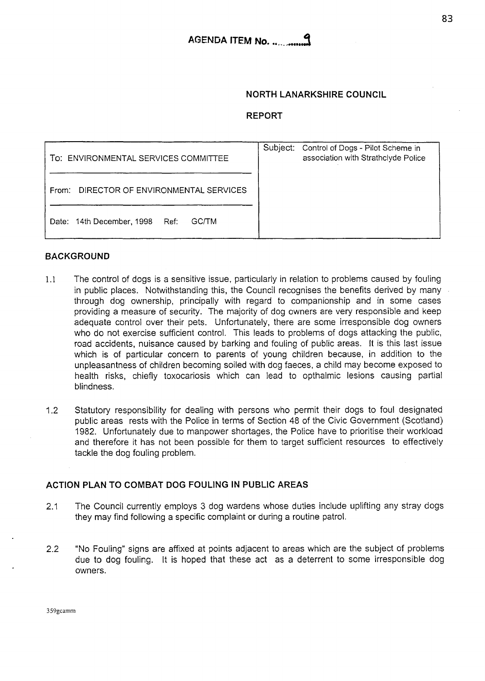# **NORTH LANARKSHIRE COUNCIL**

# **REPORT**

| TO: ENVIRONMENTAL SERVICES COMMITTEE           | Subject: | Control of Dogs - Pilot Scheme in<br>association with Strathclyde Police |
|------------------------------------------------|----------|--------------------------------------------------------------------------|
| DIRECTOR OF ENVIRONMENTAL SERVICES<br>From:    |          |                                                                          |
| Date: 14th December, 1998 Ref:<br><b>GC/TM</b> |          |                                                                          |

# **BACKGROUND**

- 1.1 The control of dogs is a sensitive issue, particularly in relation to problems caused by fouling in public places. Notwithstanding this, the Council recognises the benefits derived by many through dog ownership, principally with regard to companionship and in some cases providing a measure of security. The majority of dog owners are very responsible and keep adequate control over their pets. Unfortunately, there are some irresponsible dog owners who do not exercise sufficient control. This leads to problems of dogs attacking the public, road accidents, nuisance caused by barking and fouling of public areas. It is this last issue which is of particular concern to parents of young children because, in addition to the unpleasantness of children becoming soiled with dog faeces, a child may become exposed to health risks, chiefly toxocariosis which can lead to opthalmic lesions causing partial blindness.
- 1.2 Statutory responsibility for dealing with persons who permit their dogs to foul designated public areas rests with the Police in terms of Section 48 of the Civic Government (Scotland) 1982. Unfortunately due to manpower shortages, the Police have to prioritise their workload and therefore it has not been possible for them to target sufficient resources to effectively tackle the dog fouling problem.

#### **ACTION PLAN TO COMBAT DOG FOULING IN PUBLIC AREAS**

- 2.1 The Council currently employs 3 dog wardens whose duties include uplifting any stray dogs they may find following a specific complaint or during a routine patrol.
- 2.2 "No Fouling" signs are affixed at points adjacent to areas which are the subject of problems due to dog fouling. It is hoped that these act as a deterrent to some irresponsible dog owners.

359gcamm